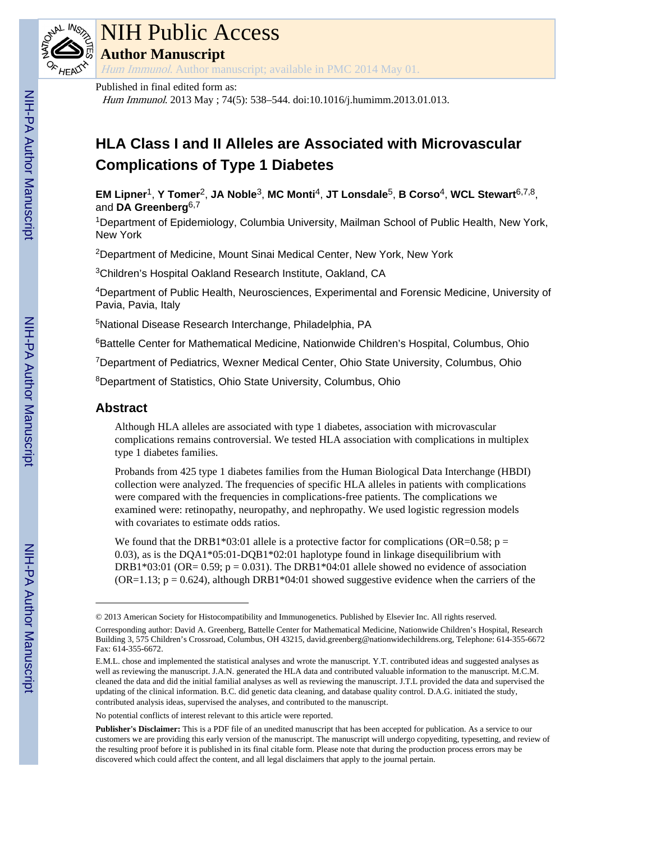

### NIH Public Access

**Author Manuscript**

Hum Immunol. Author manuscript; available in PMC 2014 May 01.

#### Published in final edited form as:

Hum Immunol. 2013 May ; 74(5): 538–544. doi:10.1016/j.humimm.2013.01.013.

### **HLA Class I and II Alleles are Associated with Microvascular Complications of Type 1 Diabetes**

**EM Lipner**1, **Y Tomer**2, **JA Noble**3, **MC Monti**4, **JT Lonsdale**5, **B Corso**4, **WCL Stewart**6,7,8, and **DA Greenberg**6,7

<sup>1</sup>Department of Epidemiology, Columbia University, Mailman School of Public Health, New York, New York

<sup>2</sup>Department of Medicine, Mount Sinai Medical Center, New York, New York

<sup>3</sup>Children's Hospital Oakland Research Institute, Oakland, CA

<sup>4</sup>Department of Public Health, Neurosciences, Experimental and Forensic Medicine, University of Pavia, Pavia, Italy

<sup>5</sup>National Disease Research Interchange, Philadelphia, PA

<sup>6</sup>Battelle Center for Mathematical Medicine, Nationwide Children's Hospital, Columbus, Ohio

<sup>7</sup>Department of Pediatrics, Wexner Medical Center, Ohio State University, Columbus, Ohio

<sup>8</sup>Department of Statistics, Ohio State University, Columbus, Ohio

#### **Abstract**

Although HLA alleles are associated with type 1 diabetes, association with microvascular complications remains controversial. We tested HLA association with complications in multiplex type 1 diabetes families.

Probands from 425 type 1 diabetes families from the Human Biological Data Interchange (HBDI) collection were analyzed. The frequencies of specific HLA alleles in patients with complications were compared with the frequencies in complications-free patients. The complications we examined were: retinopathy, neuropathy, and nephropathy. We used logistic regression models with covariates to estimate odds ratios.

We found that the DRB1\*03:01 allele is a protective factor for complications (OR=0.58;  $p =$ 0.03), as is the DQA1\*05:01-DQB1\*02:01 haplotype found in linkage disequilibrium with DRB1\*03:01 (OR=  $0.59$ ; p =  $0.031$ ). The DRB1\*04:01 allele showed no evidence of association  $(OR=1.13; p = 0.624)$ , although DRB1\*04:01 showed suggestive evidence when the carriers of the

No potential conflicts of interest relevant to this article were reported.

<sup>© 2013</sup> American Society for Histocompatibility and Immunogenetics. Published by Elsevier Inc. All rights reserved. Corresponding author: David A. Greenberg, Battelle Center for Mathematical Medicine, Nationwide Children's Hospital, Research Building 3, 575 Children's Crossroad, Columbus, OH 43215, david.greenberg@nationwidechildrens.org, Telephone: 614-355-6672 Fax: 614-355-6672.

E.M.L. chose and implemented the statistical analyses and wrote the manuscript. Y.T. contributed ideas and suggested analyses as well as reviewing the manuscript. J.A.N. generated the HLA data and contributed valuable information to the manuscript. M.C.M. cleaned the data and did the initial familial analyses as well as reviewing the manuscript. J.T.L provided the data and supervised the updating of the clinical information. B.C. did genetic data cleaning, and database quality control. D.A.G. initiated the study, contributed analysis ideas, supervised the analyses, and contributed to the manuscript.

**Publisher's Disclaimer:** This is a PDF file of an unedited manuscript that has been accepted for publication. As a service to our customers we are providing this early version of the manuscript. The manuscript will undergo copyediting, typesetting, and review of the resulting proof before it is published in its final citable form. Please note that during the production process errors may be discovered which could affect the content, and all legal disclaimers that apply to the journal pertain.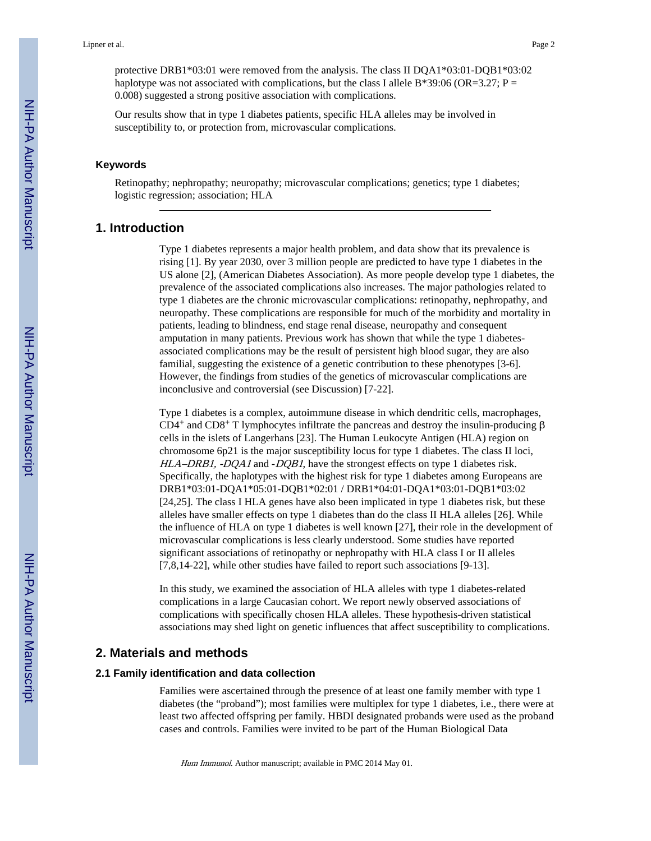protective DRB1\*03:01 were removed from the analysis. The class II DQA1\*03:01-DQB1\*03:02 haplotype was not associated with complications, but the class I allele B\*39:06 (OR=3.27; P = 0.008) suggested a strong positive association with complications.

Our results show that in type 1 diabetes patients, specific HLA alleles may be involved in susceptibility to, or protection from, microvascular complications.

#### **Keywords**

Retinopathy; nephropathy; neuropathy; microvascular complications; genetics; type 1 diabetes; logistic regression; association; HLA

#### **1. Introduction**

Type 1 diabetes represents a major health problem, and data show that its prevalence is rising [1]. By year 2030, over 3 million people are predicted to have type 1 diabetes in the US alone [2], (American Diabetes Association). As more people develop type 1 diabetes, the prevalence of the associated complications also increases. The major pathologies related to type 1 diabetes are the chronic microvascular complications: retinopathy, nephropathy, and neuropathy. These complications are responsible for much of the morbidity and mortality in patients, leading to blindness, end stage renal disease, neuropathy and consequent amputation in many patients. Previous work has shown that while the type 1 diabetesassociated complications may be the result of persistent high blood sugar, they are also familial, suggesting the existence of a genetic contribution to these phenotypes [3-6]. However, the findings from studies of the genetics of microvascular complications are inconclusive and controversial (see Discussion) [7-22].

Type 1 diabetes is a complex, autoimmune disease in which dendritic cells, macrophages, CD4<sup>+</sup> and CD8<sup>+</sup> T lymphocytes infiltrate the pancreas and destroy the insulin-producing β cells in the islets of Langerhans [23]. The Human Leukocyte Antigen (HLA) region on chromosome 6p21 is the major susceptibility locus for type 1 diabetes. The class II loci, HLA–DRB1, -DQA1 and -DQB1, have the strongest effects on type 1 diabetes risk. Specifically, the haplotypes with the highest risk for type 1 diabetes among Europeans are DRB1\*03:01-DQA1\*05:01-DQB1\*02:01 / DRB1\*04:01-DQA1\*03:01-DQB1\*03:02 [24,25]. The class I HLA genes have also been implicated in type 1 diabetes risk, but these alleles have smaller effects on type 1 diabetes than do the class II HLA alleles [26]. While the influence of HLA on type 1 diabetes is well known [27], their role in the development of microvascular complications is less clearly understood. Some studies have reported significant associations of retinopathy or nephropathy with HLA class I or II alleles [7,8,14-22], while other studies have failed to report such associations [9-13].

In this study, we examined the association of HLA alleles with type 1 diabetes-related complications in a large Caucasian cohort. We report newly observed associations of complications with specifically chosen HLA alleles. These hypothesis-driven statistical associations may shed light on genetic influences that affect susceptibility to complications.

#### **2. Materials and methods**

#### **2.1 Family identification and data collection**

Families were ascertained through the presence of at least one family member with type 1 diabetes (the "proband"); most families were multiplex for type 1 diabetes, i.e., there were at least two affected offspring per family. HBDI designated probands were used as the proband cases and controls. Families were invited to be part of the Human Biological Data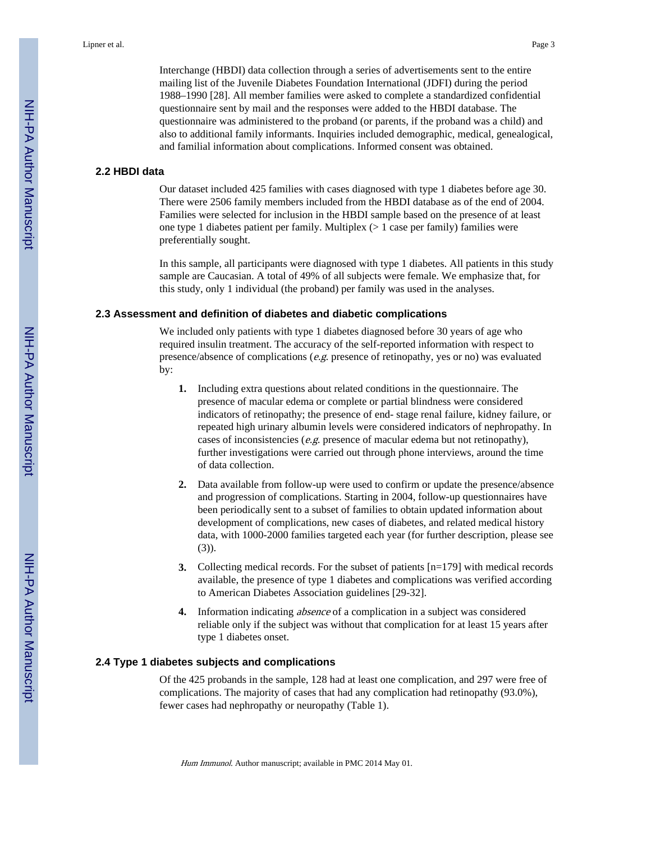Interchange (HBDI) data collection through a series of advertisements sent to the entire mailing list of the Juvenile Diabetes Foundation International (JDFI) during the period 1988–1990 [28]. All member families were asked to complete a standardized confidential questionnaire sent by mail and the responses were added to the HBDI database. The questionnaire was administered to the proband (or parents, if the proband was a child) and also to additional family informants. Inquiries included demographic, medical, genealogical, and familial information about complications. Informed consent was obtained.

#### **2.2 HBDI data**

Our dataset included 425 families with cases diagnosed with type 1 diabetes before age 30. There were 2506 family members included from the HBDI database as of the end of 2004. Families were selected for inclusion in the HBDI sample based on the presence of at least one type 1 diabetes patient per family. Multiplex (> 1 case per family) families were preferentially sought.

In this sample, all participants were diagnosed with type 1 diabetes. All patients in this study sample are Caucasian. A total of 49% of all subjects were female. We emphasize that, for this study, only 1 individual (the proband) per family was used in the analyses.

#### **2.3 Assessment and definition of diabetes and diabetic complications**

We included only patients with type 1 diabetes diagnosed before 30 years of age who required insulin treatment. The accuracy of the self-reported information with respect to presence/absence of complications ( $e.g.$  presence of retinopathy, yes or no) was evaluated by:

- **1.** Including extra questions about related conditions in the questionnaire. The presence of macular edema or complete or partial blindness were considered indicators of retinopathy; the presence of end- stage renal failure, kidney failure, or repeated high urinary albumin levels were considered indicators of nephropathy. In cases of inconsistencies (e.g. presence of macular edema but not retinopathy), further investigations were carried out through phone interviews, around the time of data collection.
- **2.** Data available from follow-up were used to confirm or update the presence/absence and progression of complications. Starting in 2004, follow-up questionnaires have been periodically sent to a subset of families to obtain updated information about development of complications, new cases of diabetes, and related medical history data, with 1000-2000 families targeted each year (for further description, please see (3)).
- **3.** Collecting medical records. For the subset of patients  $[n=179]$  with medical records available, the presence of type 1 diabetes and complications was verified according to American Diabetes Association guidelines [29-32].
- **4.** Information indicating absence of a complication in a subject was considered reliable only if the subject was without that complication for at least 15 years after type 1 diabetes onset.

#### **2.4 Type 1 diabetes subjects and complications**

Of the 425 probands in the sample, 128 had at least one complication, and 297 were free of complications. The majority of cases that had any complication had retinopathy (93.0%), fewer cases had nephropathy or neuropathy (Table 1).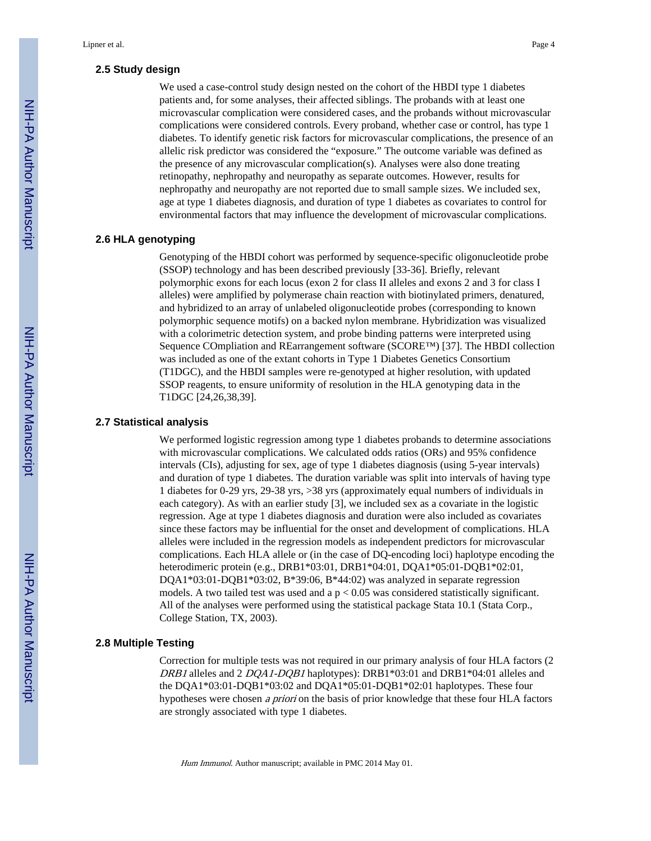#### **2.5 Study design**

We used a case-control study design nested on the cohort of the HBDI type 1 diabetes patients and, for some analyses, their affected siblings. The probands with at least one microvascular complication were considered cases, and the probands without microvascular complications were considered controls. Every proband, whether case or control, has type 1 diabetes. To identify genetic risk factors for microvascular complications, the presence of an allelic risk predictor was considered the "exposure." The outcome variable was defined as the presence of any microvascular complication(s). Analyses were also done treating retinopathy, nephropathy and neuropathy as separate outcomes. However, results for nephropathy and neuropathy are not reported due to small sample sizes. We included sex, age at type 1 diabetes diagnosis, and duration of type 1 diabetes as covariates to control for environmental factors that may influence the development of microvascular complications.

#### **2.6 HLA genotyping**

Genotyping of the HBDI cohort was performed by sequence-specific oligonucleotide probe (SSOP) technology and has been described previously [33-36]. Briefly, relevant polymorphic exons for each locus (exon 2 for class II alleles and exons 2 and 3 for class I alleles) were amplified by polymerase chain reaction with biotinylated primers, denatured, and hybridized to an array of unlabeled oligonucleotide probes (corresponding to known polymorphic sequence motifs) on a backed nylon membrane. Hybridization was visualized with a colorimetric detection system, and probe binding patterns were interpreted using Sequence COmpliation and REarrangement software (SCORE™) [37]. The HBDI collection was included as one of the extant cohorts in Type 1 Diabetes Genetics Consortium (T1DGC), and the HBDI samples were re-genotyped at higher resolution, with updated SSOP reagents, to ensure uniformity of resolution in the HLA genotyping data in the T1DGC [24,26,38,39].

#### **2.7 Statistical analysis**

We performed logistic regression among type 1 diabetes probands to determine associations with microvascular complications. We calculated odds ratios (ORs) and 95% confidence intervals (CIs), adjusting for sex, age of type 1 diabetes diagnosis (using 5-year intervals) and duration of type 1 diabetes. The duration variable was split into intervals of having type 1 diabetes for 0-29 yrs, 29-38 yrs, >38 yrs (approximately equal numbers of individuals in each category). As with an earlier study [3], we included sex as a covariate in the logistic regression. Age at type 1 diabetes diagnosis and duration were also included as covariates since these factors may be influential for the onset and development of complications. HLA alleles were included in the regression models as independent predictors for microvascular complications. Each HLA allele or (in the case of DQ-encoding loci) haplotype encoding the heterodimeric protein (e.g., DRB1\*03:01, DRB1\*04:01, DQA1\*05:01-DQB1\*02:01, DQA1\*03:01-DQB1\*03:02, B\*39:06, B\*44:02) was analyzed in separate regression models. A two tailed test was used and a  $p < 0.05$  was considered statistically significant. All of the analyses were performed using the statistical package Stata 10.1 (Stata Corp., College Station, TX, 2003).

#### **2.8 Multiple Testing**

Correction for multiple tests was not required in our primary analysis of four HLA factors (2 DRB1 alleles and 2 DQA1-DQB1 haplotypes): DRB1\*03:01 and DRB1\*04:01 alleles and the DQA1\*03:01-DQB1\*03:02 and DQA1\*05:01-DQB1\*02:01 haplotypes. These four hypotheses were chosen a priori on the basis of prior knowledge that these four HLA factors are strongly associated with type 1 diabetes.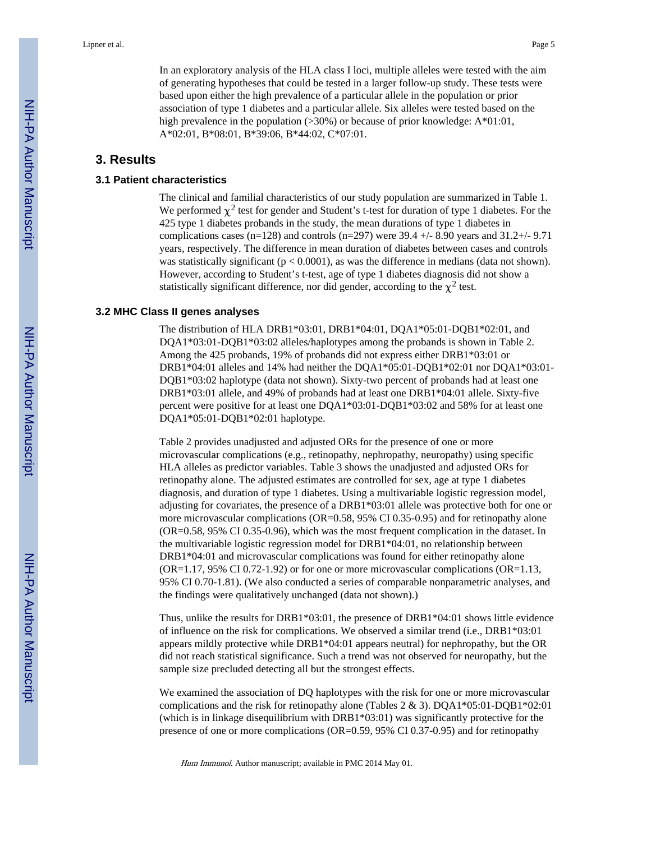In an exploratory analysis of the HLA class I loci, multiple alleles were tested with the aim of generating hypotheses that could be tested in a larger follow-up study. These tests were based upon either the high prevalence of a particular allele in the population or prior association of type 1 diabetes and a particular allele. Six alleles were tested based on the high prevalence in the population (>30%) or because of prior knowledge: A\*01:01, A\*02:01, B\*08:01, B\*39:06, B\*44:02, C\*07:01.

#### **3. Results**

#### **3.1 Patient characteristics**

The clinical and familial characteristics of our study population are summarized in Table 1. We performed  $\chi^2$  test for gender and Student's t-test for duration of type 1 diabetes. For the 425 type 1 diabetes probands in the study, the mean durations of type 1 diabetes in complications cases (n=128) and controls (n=297) were  $39.4 +/-8.90$  years and  $31.2 +/-9.71$ years, respectively. The difference in mean duration of diabetes between cases and controls was statistically significant ( $p < 0.0001$ ), as was the difference in medians (data not shown). However, according to Student's t-test, age of type 1 diabetes diagnosis did not show a statistically significant difference, nor did gender, according to the  $\chi^2$  test.

#### **3.2 MHC Class II genes analyses**

The distribution of HLA DRB1\*03:01, DRB1\*04:01, DQA1\*05:01-DQB1\*02:01, and DQA1\*03:01-DQB1\*03:02 alleles/haplotypes among the probands is shown in Table 2. Among the 425 probands, 19% of probands did not express either DRB1\*03:01 or DRB1\*04:01 alleles and 14% had neither the DQA1\*05:01-DQB1\*02:01 nor DQA1\*03:01- DQB1\*03:02 haplotype (data not shown). Sixty-two percent of probands had at least one DRB1\*03:01 allele, and 49% of probands had at least one DRB1\*04:01 allele. Sixty-five percent were positive for at least one DQA1\*03:01-DQB1\*03:02 and 58% for at least one DQA1\*05:01-DQB1\*02:01 haplotype.

Table 2 provides unadjusted and adjusted ORs for the presence of one or more microvascular complications (e.g., retinopathy, nephropathy, neuropathy) using specific HLA alleles as predictor variables. Table 3 shows the unadjusted and adjusted ORs for retinopathy alone. The adjusted estimates are controlled for sex, age at type 1 diabetes diagnosis, and duration of type 1 diabetes. Using a multivariable logistic regression model, adjusting for covariates, the presence of a DRB1\*03:01 allele was protective both for one or more microvascular complications (OR=0.58, 95% CI 0.35-0.95) and for retinopathy alone (OR=0.58, 95% CI 0.35-0.96), which was the most frequent complication in the dataset. In the multivariable logistic regression model for DRB1\*04:01, no relationship between DRB1\*04:01 and microvascular complications was found for either retinopathy alone  $(OR=1.17, 95\% \text{ CI } 0.72-1.92)$  or for one or more microvascular complications  $(OR=1.13, 1.15)$ 95% CI 0.70-1.81). (We also conducted a series of comparable nonparametric analyses, and the findings were qualitatively unchanged (data not shown).)

Thus, unlike the results for DRB1\*03:01, the presence of DRB1\*04:01 shows little evidence of influence on the risk for complications. We observed a similar trend (i.e., DRB1\*03:01 appears mildly protective while DRB1\*04:01 appears neutral) for nephropathy, but the OR did not reach statistical significance. Such a trend was not observed for neuropathy, but the sample size precluded detecting all but the strongest effects.

We examined the association of DQ haplotypes with the risk for one or more microvascular complications and the risk for retinopathy alone (Tables 2 & 3). DQA1\*05:01-DQB1\*02:01 (which is in linkage disequilibrium with DRB1\*03:01) was significantly protective for the presence of one or more complications (OR=0.59, 95% CI 0.37-0.95) and for retinopathy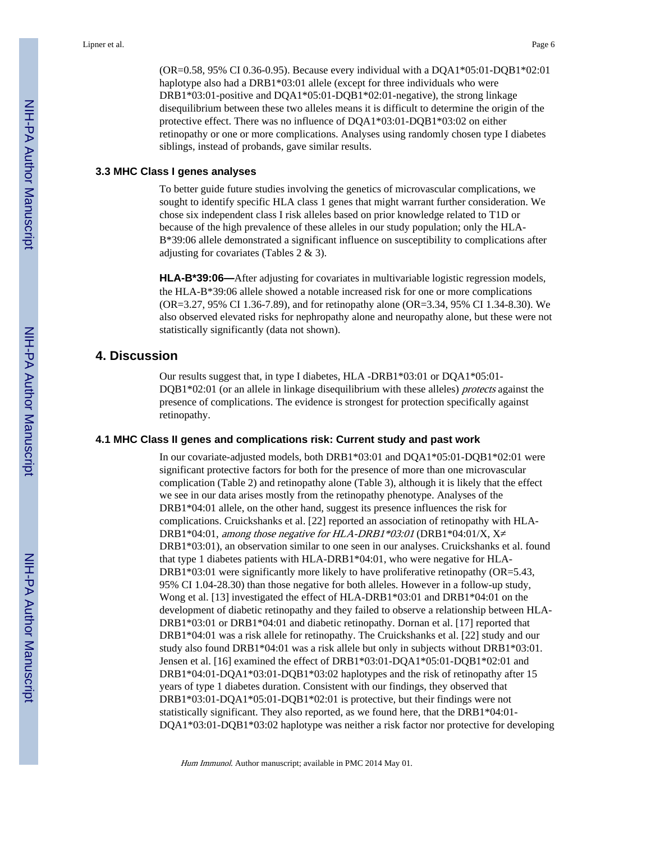(OR=0.58, 95% CI 0.36-0.95). Because every individual with a DQA1\*05:01-DQB1\*02:01 haplotype also had a DRB1\*03:01 allele (except for three individuals who were DRB1\*03:01-positive and DQA1\*05:01-DQB1\*02:01-negative), the strong linkage disequilibrium between these two alleles means it is difficult to determine the origin of the protective effect. There was no influence of DQA1\*03:01-DQB1\*03:02 on either retinopathy or one or more complications. Analyses using randomly chosen type I diabetes siblings, instead of probands, gave similar results.

#### **3.3 MHC Class I genes analyses**

To better guide future studies involving the genetics of microvascular complications, we sought to identify specific HLA class 1 genes that might warrant further consideration. We chose six independent class I risk alleles based on prior knowledge related to T1D or because of the high prevalence of these alleles in our study population; only the HLA-B\*39:06 allele demonstrated a significant influence on susceptibility to complications after adjusting for covariates (Tables 2 & 3).

**HLA-B\*39:06—**After adjusting for covariates in multivariable logistic regression models, the HLA-B\*39:06 allele showed a notable increased risk for one or more complications (OR=3.27, 95% CI 1.36-7.89), and for retinopathy alone (OR=3.34, 95% CI 1.34-8.30). We also observed elevated risks for nephropathy alone and neuropathy alone, but these were not statistically significantly (data not shown).

#### **4. Discussion**

Our results suggest that, in type I diabetes, HLA -DRB1\*03:01 or DQA1\*05:01-  $DQB1*02:01$  (or an allele in linkage disequilibrium with these alleles) *protects* against the presence of complications. The evidence is strongest for protection specifically against retinopathy.

#### **4.1 MHC Class II genes and complications risk: Current study and past work**

In our covariate-adjusted models, both DRB1\*03:01 and DQA1\*05:01-DQB1\*02:01 were significant protective factors for both for the presence of more than one microvascular complication (Table 2) and retinopathy alone (Table 3), although it is likely that the effect we see in our data arises mostly from the retinopathy phenotype. Analyses of the DRB1\*04:01 allele, on the other hand, suggest its presence influences the risk for complications. Cruickshanks et al. [22] reported an association of retinopathy with HLA-DRB1\*04:01, among those negative for HLA-DRB1\*03:01 (DRB1\*04:01/X, X DRB1\*03:01), an observation similar to one seen in our analyses. Cruickshanks et al. found that type 1 diabetes patients with HLA-DRB1\*04:01, who were negative for HLA-DRB1\*03:01 were significantly more likely to have proliferative retinopathy (OR=5.43, 95% CI 1.04-28.30) than those negative for both alleles. However in a follow-up study, Wong et al. [13] investigated the effect of HLA-DRB1\*03:01 and DRB1\*04:01 on the development of diabetic retinopathy and they failed to observe a relationship between HLA-DRB1\*03:01 or DRB1\*04:01 and diabetic retinopathy. Dornan et al. [17] reported that DRB1\*04:01 was a risk allele for retinopathy. The Cruickshanks et al. [22] study and our study also found DRB1\*04:01 was a risk allele but only in subjects without DRB1\*03:01. Jensen et al. [16] examined the effect of DRB1\*03:01-DQA1\*05:01-DQB1\*02:01 and DRB1\*04:01-DQA1\*03:01-DQB1\*03:02 haplotypes and the risk of retinopathy after 15 years of type 1 diabetes duration. Consistent with our findings, they observed that DRB1\*03:01-DQA1\*05:01-DQB1\*02:01 is protective, but their findings were not statistically significant. They also reported, as we found here, that the DRB1\*04:01- DQA1\*03:01-DQB1\*03:02 haplotype was neither a risk factor nor protective for developing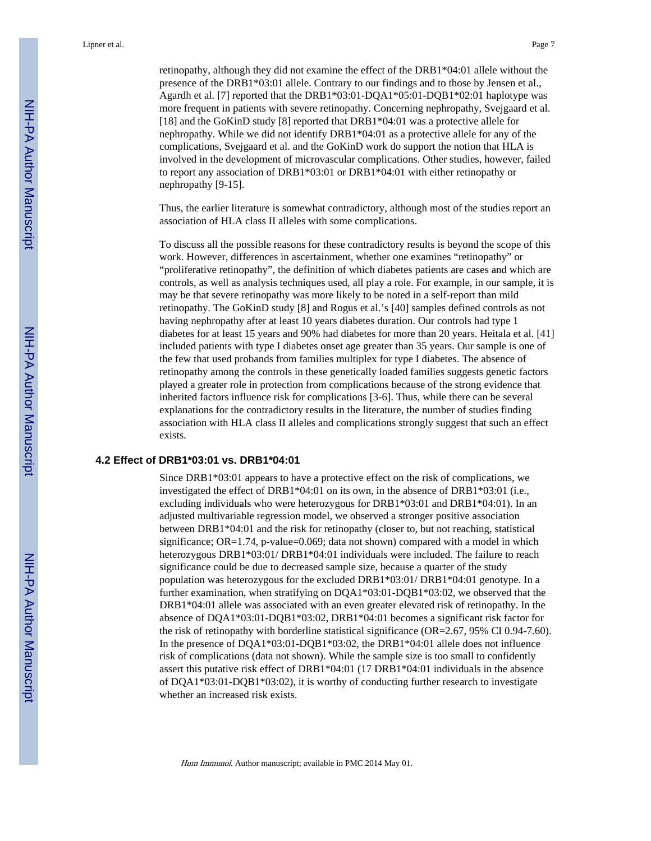retinopathy, although they did not examine the effect of the DRB1\*04:01 allele without the presence of the DRB1\*03:01 allele. Contrary to our findings and to those by Jensen et al., Agardh et al. [7] reported that the DRB1\*03:01-DQA1\*05:01-DQB1\*02:01 haplotype was more frequent in patients with severe retinopathy. Concerning nephropathy, Svejgaard et al. [18] and the GoKinD study [8] reported that DRB1\*04:01 was a protective allele for nephropathy. While we did not identify DRB1\*04:01 as a protective allele for any of the complications, Svejgaard et al. and the GoKinD work do support the notion that HLA is involved in the development of microvascular complications. Other studies, however, failed to report any association of DRB1\*03:01 or DRB1\*04:01 with either retinopathy or nephropathy [9-15].

Thus, the earlier literature is somewhat contradictory, although most of the studies report an association of HLA class II alleles with some complications.

To discuss all the possible reasons for these contradictory results is beyond the scope of this work. However, differences in ascertainment, whether one examines "retinopathy" or "proliferative retinopathy", the definition of which diabetes patients are cases and which are controls, as well as analysis techniques used, all play a role. For example, in our sample, it is may be that severe retinopathy was more likely to be noted in a self-report than mild retinopathy. The GoKinD study [8] and Rogus et al.'s [40] samples defined controls as not having nephropathy after at least 10 years diabetes duration. Our controls had type 1 diabetes for at least 15 years and 90% had diabetes for more than 20 years. Heitala et al. [41] included patients with type I diabetes onset age greater than 35 years. Our sample is one of the few that used probands from families multiplex for type I diabetes. The absence of retinopathy among the controls in these genetically loaded families suggests genetic factors played a greater role in protection from complications because of the strong evidence that inherited factors influence risk for complications [3-6]. Thus, while there can be several explanations for the contradictory results in the literature, the number of studies finding association with HLA class II alleles and complications strongly suggest that such an effect exists.

#### **4.2 Effect of DRB1\*03:01 vs. DRB1\*04:01**

Since DRB1\*03:01 appears to have a protective effect on the risk of complications, we investigated the effect of DRB1\*04:01 on its own, in the absence of DRB1\*03:01 (i.e., excluding individuals who were heterozygous for DRB1\*03:01 and DRB1\*04:01). In an adjusted multivariable regression model, we observed a stronger positive association between DRB1\*04:01 and the risk for retinopathy (closer to, but not reaching, statistical significance; OR=1.74, p-value=0.069; data not shown) compared with a model in which heterozygous DRB1\*03:01/ DRB1\*04:01 individuals were included. The failure to reach significance could be due to decreased sample size, because a quarter of the study population was heterozygous for the excluded DRB1\*03:01/ DRB1\*04:01 genotype. In a further examination, when stratifying on DQA1\*03:01-DQB1\*03:02, we observed that the DRB1\*04:01 allele was associated with an even greater elevated risk of retinopathy. In the absence of DQA1\*03:01-DQB1\*03:02, DRB1\*04:01 becomes a significant risk factor for the risk of retinopathy with borderline statistical significance (OR=2.67, 95% CI 0.94-7.60). In the presence of DQA1\*03:01-DQB1\*03:02, the DRB1\*04:01 allele does not influence risk of complications (data not shown). While the sample size is too small to confidently assert this putative risk effect of DRB1\*04:01 (17 DRB1\*04:01 individuals in the absence of DQA1\*03:01-DQB1\*03:02), it is worthy of conducting further research to investigate whether an increased risk exists.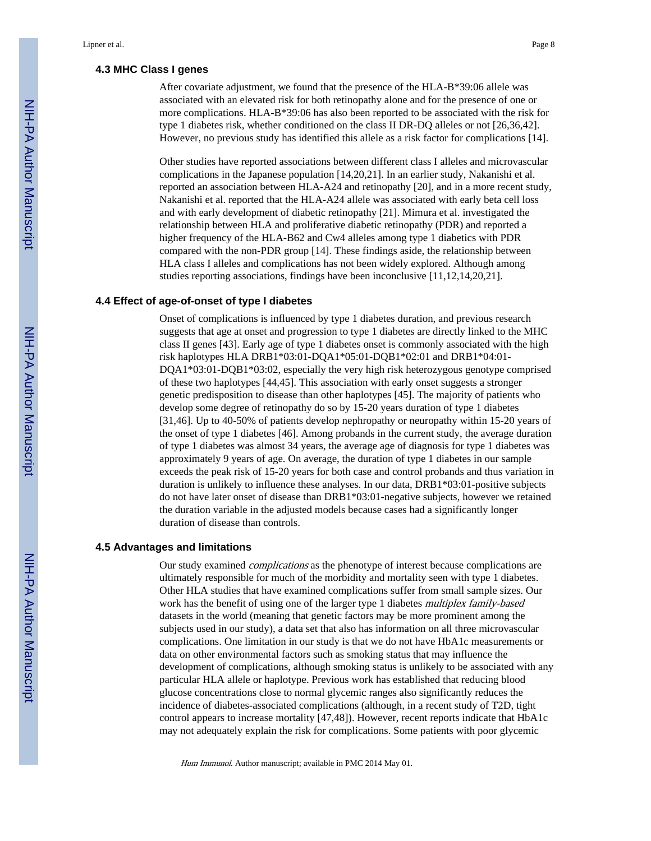#### **4.3 MHC Class I genes**

After covariate adjustment, we found that the presence of the HLA-B\*39:06 allele was associated with an elevated risk for both retinopathy alone and for the presence of one or more complications. HLA-B\*39:06 has also been reported to be associated with the risk for type 1 diabetes risk, whether conditioned on the class II DR-DQ alleles or not [26,36,42]. However, no previous study has identified this allele as a risk factor for complications [14].

Other studies have reported associations between different class I alleles and microvascular complications in the Japanese population [14,20,21]. In an earlier study, Nakanishi et al. reported an association between HLA-A24 and retinopathy [20], and in a more recent study, Nakanishi et al. reported that the HLA-A24 allele was associated with early beta cell loss and with early development of diabetic retinopathy [21]. Mimura et al. investigated the relationship between HLA and proliferative diabetic retinopathy (PDR) and reported a higher frequency of the HLA-B62 and Cw4 alleles among type 1 diabetics with PDR compared with the non-PDR group [14]. These findings aside, the relationship between HLA class I alleles and complications has not been widely explored. Although among studies reporting associations, findings have been inconclusive [11,12,14,20,21].

#### **4.4 Effect of age-of-onset of type I diabetes**

Onset of complications is influenced by type 1 diabetes duration, and previous research suggests that age at onset and progression to type 1 diabetes are directly linked to the MHC class II genes [43]. Early age of type 1 diabetes onset is commonly associated with the high risk haplotypes HLA DRB1\*03:01-DQA1\*05:01-DQB1\*02:01 and DRB1\*04:01- DQA1\*03:01-DQB1\*03:02, especially the very high risk heterozygous genotype comprised of these two haplotypes [44,45]. This association with early onset suggests a stronger genetic predisposition to disease than other haplotypes [45]. The majority of patients who develop some degree of retinopathy do so by 15-20 years duration of type 1 diabetes [31,46]. Up to 40-50% of patients develop nephropathy or neuropathy within 15-20 years of the onset of type 1 diabetes [46]. Among probands in the current study, the average duration of type 1 diabetes was almost 34 years, the average age of diagnosis for type 1 diabetes was approximately 9 years of age. On average, the duration of type 1 diabetes in our sample exceeds the peak risk of 15-20 years for both case and control probands and thus variation in duration is unlikely to influence these analyses. In our data, DRB1\*03:01-positive subjects do not have later onset of disease than DRB1\*03:01-negative subjects, however we retained the duration variable in the adjusted models because cases had a significantly longer duration of disease than controls.

#### **4.5 Advantages and limitations**

Our study examined complications as the phenotype of interest because complications are ultimately responsible for much of the morbidity and mortality seen with type 1 diabetes. Other HLA studies that have examined complications suffer from small sample sizes. Our work has the benefit of using one of the larger type 1 diabetes *multiplex family-based* datasets in the world (meaning that genetic factors may be more prominent among the subjects used in our study), a data set that also has information on all three microvascular complications. One limitation in our study is that we do not have HbA1c measurements or data on other environmental factors such as smoking status that may influence the development of complications, although smoking status is unlikely to be associated with any particular HLA allele or haplotype. Previous work has established that reducing blood glucose concentrations close to normal glycemic ranges also significantly reduces the incidence of diabetes-associated complications (although, in a recent study of T2D, tight control appears to increase mortality [47,48]). However, recent reports indicate that HbA1c may not adequately explain the risk for complications. Some patients with poor glycemic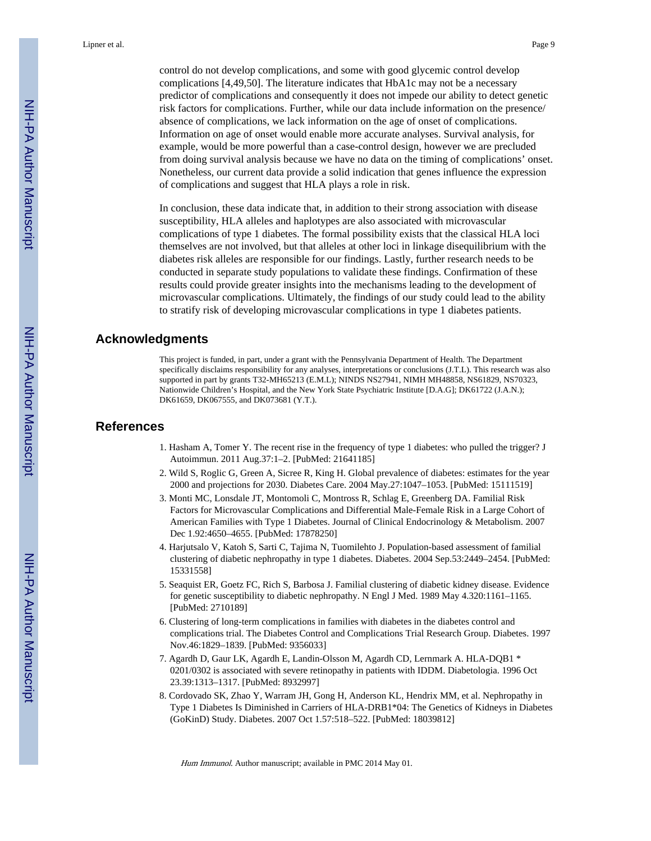control do not develop complications, and some with good glycemic control develop complications [4,49,50]. The literature indicates that HbA1c may not be a necessary predictor of complications and consequently it does not impede our ability to detect genetic risk factors for complications. Further, while our data include information on the presence/ absence of complications, we lack information on the age of onset of complications. Information on age of onset would enable more accurate analyses. Survival analysis, for example, would be more powerful than a case-control design, however we are precluded from doing survival analysis because we have no data on the timing of complications' onset. Nonetheless, our current data provide a solid indication that genes influence the expression of complications and suggest that HLA plays a role in risk.

In conclusion, these data indicate that, in addition to their strong association with disease susceptibility, HLA alleles and haplotypes are also associated with microvascular complications of type 1 diabetes. The formal possibility exists that the classical HLA loci themselves are not involved, but that alleles at other loci in linkage disequilibrium with the diabetes risk alleles are responsible for our findings. Lastly, further research needs to be conducted in separate study populations to validate these findings. Confirmation of these results could provide greater insights into the mechanisms leading to the development of microvascular complications. Ultimately, the findings of our study could lead to the ability to stratify risk of developing microvascular complications in type 1 diabetes patients.

#### **Acknowledgments**

This project is funded, in part, under a grant with the Pennsylvania Department of Health. The Department specifically disclaims responsibility for any analyses, interpretations or conclusions (J.T.L). This research was also supported in part by grants T32-MH65213 (E.M.L); NINDS NS27941, NIMH MH48858, NS61829, NS70323, Nationwide Children's Hospital, and the New York State Psychiatric Institute [D.A.G]; DK61722 (J.A.N.); DK61659, DK067555, and DK073681 (Y.T.).

#### **References**

- 1. Hasham A, Tomer Y. The recent rise in the frequency of type 1 diabetes: who pulled the trigger? J Autoimmun. 2011 Aug.37:1–2. [PubMed: 21641185]
- 2. Wild S, Roglic G, Green A, Sicree R, King H. Global prevalence of diabetes: estimates for the year 2000 and projections for 2030. Diabetes Care. 2004 May.27:1047–1053. [PubMed: 15111519]
- 3. Monti MC, Lonsdale JT, Montomoli C, Montross R, Schlag E, Greenberg DA. Familial Risk Factors for Microvascular Complications and Differential Male-Female Risk in a Large Cohort of American Families with Type 1 Diabetes. Journal of Clinical Endocrinology & Metabolism. 2007 Dec 1.92:4650–4655. [PubMed: 17878250]
- 4. Harjutsalo V, Katoh S, Sarti C, Tajima N, Tuomilehto J. Population-based assessment of familial clustering of diabetic nephropathy in type 1 diabetes. Diabetes. 2004 Sep.53:2449–2454. [PubMed: 15331558]
- 5. Seaquist ER, Goetz FC, Rich S, Barbosa J. Familial clustering of diabetic kidney disease. Evidence for genetic susceptibility to diabetic nephropathy. N Engl J Med. 1989 May 4.320:1161–1165. [PubMed: 2710189]
- 6. Clustering of long-term complications in families with diabetes in the diabetes control and complications trial. The Diabetes Control and Complications Trial Research Group. Diabetes. 1997 Nov.46:1829–1839. [PubMed: 9356033]
- 7. Agardh D, Gaur LK, Agardh E, Landin-Olsson M, Agardh CD, Lernmark A. HLA-DQB1 \* 0201/0302 is associated with severe retinopathy in patients with IDDM. Diabetologia. 1996 Oct 23.39:1313–1317. [PubMed: 8932997]
- 8. Cordovado SK, Zhao Y, Warram JH, Gong H, Anderson KL, Hendrix MM, et al. Nephropathy in Type 1 Diabetes Is Diminished in Carriers of HLA-DRB1\*04: The Genetics of Kidneys in Diabetes (GoKinD) Study. Diabetes. 2007 Oct 1.57:518–522. [PubMed: 18039812]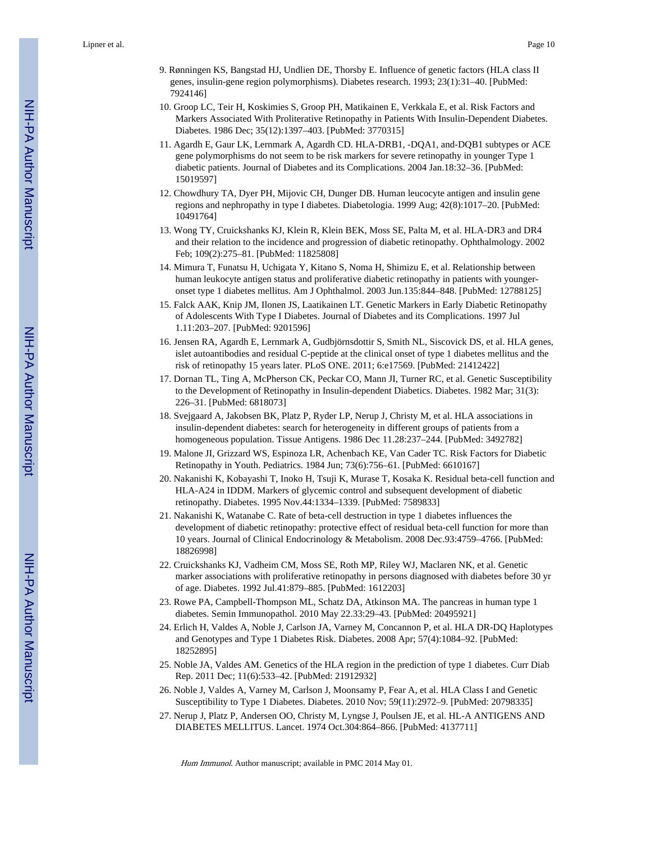- 9. Rønningen KS, Bangstad HJ, Undlien DE, Thorsby E. Influence of genetic factors (HLA class II genes, insulin-gene region polymorphisms). Diabetes research. 1993; 23(1):31–40. [PubMed: 7924146]
- 10. Groop LC, Teir H, Koskimies S, Groop PH, Matikainen E, Verkkala E, et al. Risk Factors and Markers Associated With Proliterative Retinopathy in Patients With Insulin-Dependent Diabetes. Diabetes. 1986 Dec; 35(12):1397–403. [PubMed: 3770315]
- 11. Agardh E, Gaur LK, Lernmark A, Agardh CD. HLA-DRB1, -DQA1, and-DQB1 subtypes or ACE gene polymorphisms do not seem to be risk markers for severe retinopathy in younger Type 1 diabetic patients. Journal of Diabetes and its Complications. 2004 Jan.18:32–36. [PubMed: 15019597]
- 12. Chowdhury TA, Dyer PH, Mijovic CH, Dunger DB. Human leucocyte antigen and insulin gene regions and nephropathy in type I diabetes. Diabetologia. 1999 Aug; 42(8):1017–20. [PubMed: 10491764]
- 13. Wong TY, Cruickshanks KJ, Klein R, Klein BEK, Moss SE, Palta M, et al. HLA-DR3 and DR4 and their relation to the incidence and progression of diabetic retinopathy. Ophthalmology. 2002 Feb; 109(2):275–81. [PubMed: 11825808]
- 14. Mimura T, Funatsu H, Uchigata Y, Kitano S, Noma H, Shimizu E, et al. Relationship between human leukocyte antigen status and proliferative diabetic retinopathy in patients with youngeronset type 1 diabetes mellitus. Am J Ophthalmol. 2003 Jun.135:844–848. [PubMed: 12788125]
- 15. Falck AAK, Knip JM, Ilonen JS, Laatikainen LT. Genetic Markers in Early Diabetic Retinopathy of Adolescents With Type I Diabetes. Journal of Diabetes and its Complications. 1997 Jul 1.11:203–207. [PubMed: 9201596]
- 16. Jensen RA, Agardh E, Lernmark A, Gudbjörnsdottir S, Smith NL, Siscovick DS, et al. HLA genes, islet autoantibodies and residual C-peptide at the clinical onset of type 1 diabetes mellitus and the risk of retinopathy 15 years later. PLoS ONE. 2011; 6:e17569. [PubMed: 21412422]
- 17. Dornan TL, Ting A, McPherson CK, Peckar CO, Mann JI, Turner RC, et al. Genetic Susceptibility to the Development of Retinopathy in Insulin-dependent Diabetics. Diabetes. 1982 Mar; 31(3): 226–31. [PubMed: 6818073]
- 18. Svejgaard A, Jakobsen BK, Platz P, Ryder LP, Nerup J, Christy M, et al. HLA associations in insulin-dependent diabetes: search for heterogeneity in different groups of patients from a homogeneous population. Tissue Antigens. 1986 Dec 11.28:237–244. [PubMed: 3492782]
- 19. Malone JI, Grizzard WS, Espinoza LR, Achenbach KE, Van Cader TC. Risk Factors for Diabetic Retinopathy in Youth. Pediatrics. 1984 Jun; 73(6):756–61. [PubMed: 6610167]
- 20. Nakanishi K, Kobayashi T, Inoko H, Tsuji K, Murase T, Kosaka K. Residual beta-cell function and HLA-A24 in IDDM. Markers of glycemic control and subsequent development of diabetic retinopathy. Diabetes. 1995 Nov.44:1334–1339. [PubMed: 7589833]
- 21. Nakanishi K, Watanabe C. Rate of beta-cell destruction in type 1 diabetes influences the development of diabetic retinopathy: protective effect of residual beta-cell function for more than 10 years. Journal of Clinical Endocrinology & Metabolism. 2008 Dec.93:4759–4766. [PubMed: 18826998]
- 22. Cruickshanks KJ, Vadheim CM, Moss SE, Roth MP, Riley WJ, Maclaren NK, et al. Genetic marker associations with proliferative retinopathy in persons diagnosed with diabetes before 30 yr of age. Diabetes. 1992 Jul.41:879–885. [PubMed: 1612203]
- 23. Rowe PA, Campbell-Thompson ML, Schatz DA, Atkinson MA. The pancreas in human type 1 diabetes. Semin Immunopathol. 2010 May 22.33:29–43. [PubMed: 20495921]
- 24. Erlich H, Valdes A, Noble J, Carlson JA, Varney M, Concannon P, et al. HLA DR-DQ Haplotypes and Genotypes and Type 1 Diabetes Risk. Diabetes. 2008 Apr; 57(4):1084–92. [PubMed: 18252895]
- 25. Noble JA, Valdes AM. Genetics of the HLA region in the prediction of type 1 diabetes. Curr Diab Rep. 2011 Dec; 11(6):533–42. [PubMed: 21912932]
- 26. Noble J, Valdes A, Varney M, Carlson J, Moonsamy P, Fear A, et al. HLA Class I and Genetic Susceptibility to Type 1 Diabetes. Diabetes. 2010 Nov; 59(11):2972–9. [PubMed: 20798335]
- 27. Nerup J, Platz P, Andersen OO, Christy M, Lyngse J, Poulsen JE, et al. HL-A ANTIGENS AND DIABETES MELLITUS. Lancet. 1974 Oct.304:864–866. [PubMed: 4137711]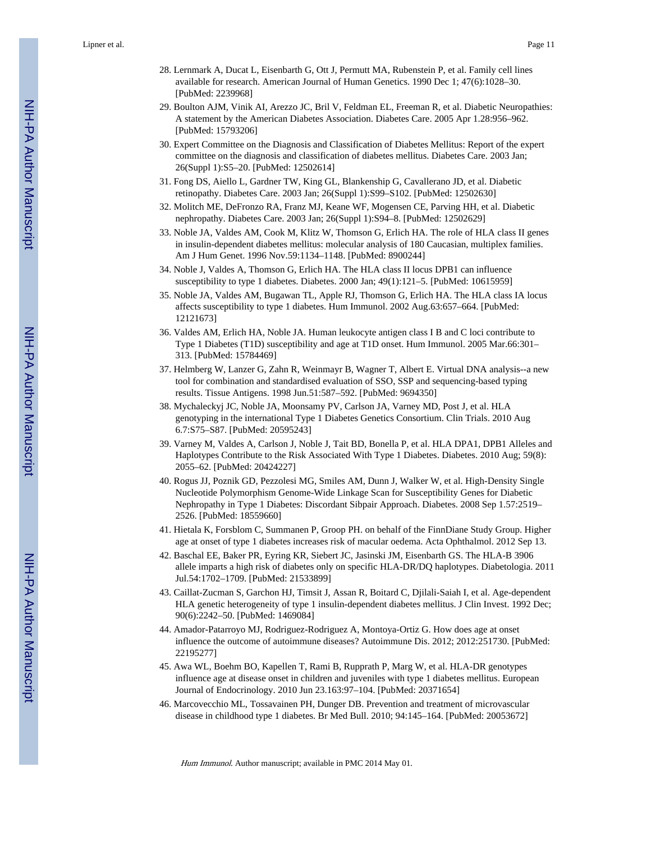- 28. Lernmark A, Ducat L, Eisenbarth G, Ott J, Permutt MA, Rubenstein P, et al. Family cell lines available for research. American Journal of Human Genetics. 1990 Dec 1; 47(6):1028–30. [PubMed: 2239968]
- 29. Boulton AJM, Vinik AI, Arezzo JC, Bril V, Feldman EL, Freeman R, et al. Diabetic Neuropathies: A statement by the American Diabetes Association. Diabetes Care. 2005 Apr 1.28:956–962. [PubMed: 15793206]
- 30. Expert Committee on the Diagnosis and Classification of Diabetes Mellitus: Report of the expert committee on the diagnosis and classification of diabetes mellitus. Diabetes Care. 2003 Jan; 26(Suppl 1):S5–20. [PubMed: 12502614]
- 31. Fong DS, Aiello L, Gardner TW, King GL, Blankenship G, Cavallerano JD, et al. Diabetic retinopathy. Diabetes Care. 2003 Jan; 26(Suppl 1):S99–S102. [PubMed: 12502630]
- 32. Molitch ME, DeFronzo RA, Franz MJ, Keane WF, Mogensen CE, Parving HH, et al. Diabetic nephropathy. Diabetes Care. 2003 Jan; 26(Suppl 1):S94–8. [PubMed: 12502629]
- 33. Noble JA, Valdes AM, Cook M, Klitz W, Thomson G, Erlich HA. The role of HLA class II genes in insulin-dependent diabetes mellitus: molecular analysis of 180 Caucasian, multiplex families. Am J Hum Genet. 1996 Nov.59:1134–1148. [PubMed: 8900244]
- 34. Noble J, Valdes A, Thomson G, Erlich HA. The HLA class II locus DPB1 can influence susceptibility to type 1 diabetes. Diabetes. 2000 Jan; 49(1):121–5. [PubMed: 10615959]
- 35. Noble JA, Valdes AM, Bugawan TL, Apple RJ, Thomson G, Erlich HA. The HLA class IA locus affects susceptibility to type 1 diabetes. Hum Immunol. 2002 Aug.63:657–664. [PubMed: 12121673]
- 36. Valdes AM, Erlich HA, Noble JA. Human leukocyte antigen class I B and C loci contribute to Type 1 Diabetes (T1D) susceptibility and age at T1D onset. Hum Immunol. 2005 Mar.66:301– 313. [PubMed: 15784469]
- 37. Helmberg W, Lanzer G, Zahn R, Weinmayr B, Wagner T, Albert E. Virtual DNA analysis--a new tool for combination and standardised evaluation of SSO, SSP and sequencing-based typing results. Tissue Antigens. 1998 Jun.51:587–592. [PubMed: 9694350]
- 38. Mychaleckyj JC, Noble JA, Moonsamy PV, Carlson JA, Varney MD, Post J, et al. HLA genotyping in the international Type 1 Diabetes Genetics Consortium. Clin Trials. 2010 Aug 6.7:S75–S87. [PubMed: 20595243]
- 39. Varney M, Valdes A, Carlson J, Noble J, Tait BD, Bonella P, et al. HLA DPA1, DPB1 Alleles and Haplotypes Contribute to the Risk Associated With Type 1 Diabetes. Diabetes. 2010 Aug; 59(8): 2055–62. [PubMed: 20424227]
- 40. Rogus JJ, Poznik GD, Pezzolesi MG, Smiles AM, Dunn J, Walker W, et al. High-Density Single Nucleotide Polymorphism Genome-Wide Linkage Scan for Susceptibility Genes for Diabetic Nephropathy in Type 1 Diabetes: Discordant Sibpair Approach. Diabetes. 2008 Sep 1.57:2519– 2526. [PubMed: 18559660]
- 41. Hietala K, Forsblom C, Summanen P, Groop PH. on behalf of the FinnDiane Study Group. Higher age at onset of type 1 diabetes increases risk of macular oedema. Acta Ophthalmol. 2012 Sep 13.
- 42. Baschal EE, Baker PR, Eyring KR, Siebert JC, Jasinski JM, Eisenbarth GS. The HLA-B 3906 allele imparts a high risk of diabetes only on specific HLA-DR/DQ haplotypes. Diabetologia. 2011 Jul.54:1702–1709. [PubMed: 21533899]
- 43. Caillat-Zucman S, Garchon HJ, Timsit J, Assan R, Boitard C, Djilali-Saiah I, et al. Age-dependent HLA genetic heterogeneity of type 1 insulin-dependent diabetes mellitus. J Clin Invest. 1992 Dec; 90(6):2242–50. [PubMed: 1469084]
- 44. Amador-Patarroyo MJ, Rodriguez-Rodriguez A, Montoya-Ortiz G. How does age at onset influence the outcome of autoimmune diseases? Autoimmune Dis. 2012; 2012:251730. [PubMed: 22195277]
- 45. Awa WL, Boehm BO, Kapellen T, Rami B, Rupprath P, Marg W, et al. HLA-DR genotypes influence age at disease onset in children and juveniles with type 1 diabetes mellitus. European Journal of Endocrinology. 2010 Jun 23.163:97–104. [PubMed: 20371654]
- 46. Marcovecchio ML, Tossavainen PH, Dunger DB. Prevention and treatment of microvascular disease in childhood type 1 diabetes. Br Med Bull. 2010; 94:145–164. [PubMed: 20053672]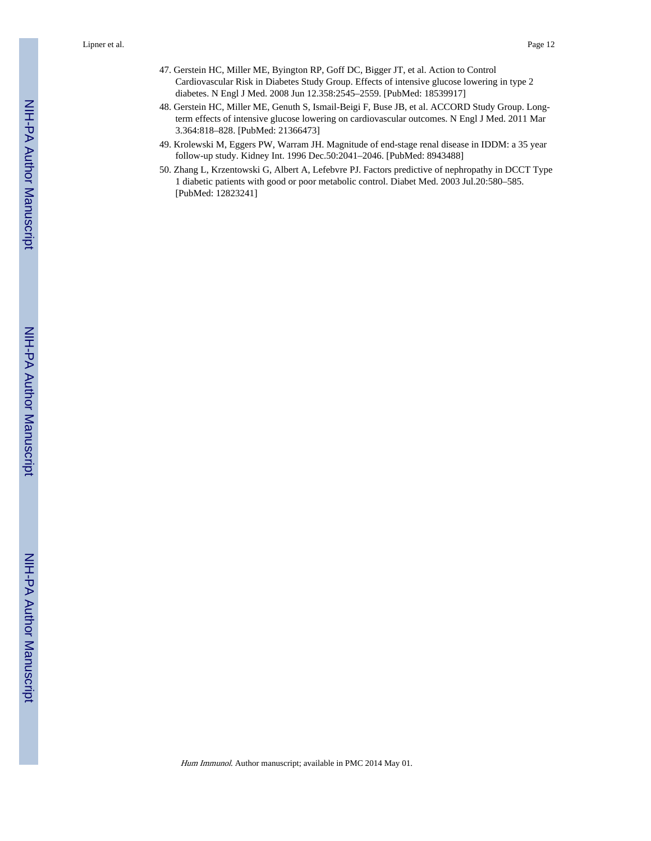- 47. Gerstein HC, Miller ME, Byington RP, Goff DC, Bigger JT, et al. Action to Control Cardiovascular Risk in Diabetes Study Group. Effects of intensive glucose lowering in type 2 diabetes. N Engl J Med. 2008 Jun 12.358:2545–2559. [PubMed: 18539917]
- 48. Gerstein HC, Miller ME, Genuth S, Ismail-Beigi F, Buse JB, et al. ACCORD Study Group. Longterm effects of intensive glucose lowering on cardiovascular outcomes. N Engl J Med. 2011 Mar 3.364:818–828. [PubMed: 21366473]
- 49. Krolewski M, Eggers PW, Warram JH. Magnitude of end-stage renal disease in IDDM: a 35 year follow-up study. Kidney Int. 1996 Dec.50:2041–2046. [PubMed: 8943488]
- 50. Zhang L, Krzentowski G, Albert A, Lefebvre PJ. Factors predictive of nephropathy in DCCT Type 1 diabetic patients with good or poor metabolic control. Diabet Med. 2003 Jul.20:580–585. [PubMed: 12823241]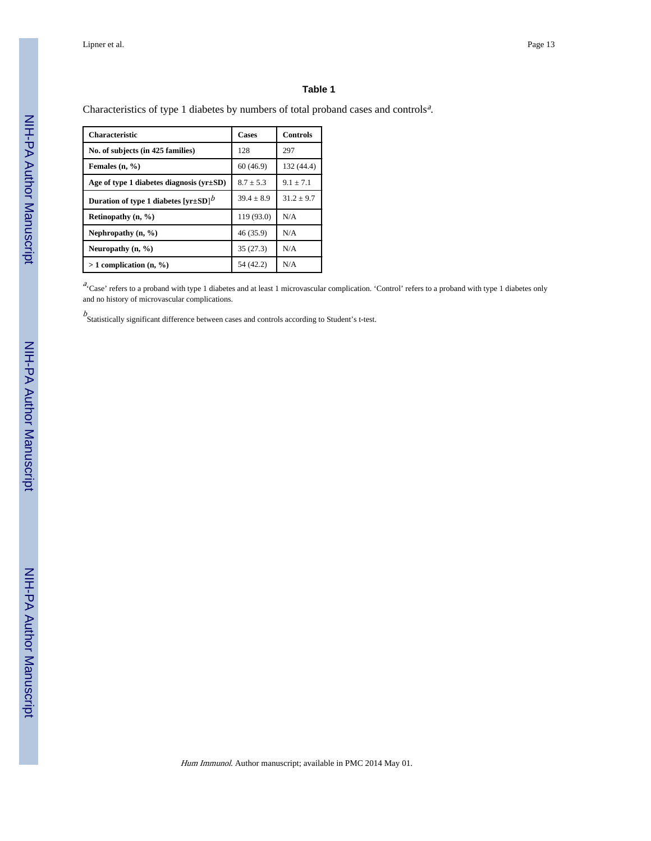#### **Table 1**

Characteristics of type 1 diabetes by numbers of total proband cases and controls<sup>a</sup>.

| <b>Characteristic</b>                                   | <b>Cases</b> | <b>Controls</b> |
|---------------------------------------------------------|--------------|-----------------|
| No. of subjects (in 425 families)                       | 128          | 297             |
| Females $(n, %)$                                        | 60(46.9)     | 132 (44.4)      |
| Age of type 1 diabetes diagnosis $(yr \pm SD)$          | $8.7 + 5.3$  | $9.1 + 7.1$     |
| Duration of type 1 diabetes $[\text{yr}\pm\text{SD}]^b$ | $39.4 + 8.9$ | $31.2 \pm 9.7$  |
| Retinopathy $(n, %)$                                    | 119 (93.0)   | N/A             |
| Nephropathy $(n, \frac{9}{6})$                          | 46 (35.9)    | N/A             |
| Neuropathy $(n, \frac{9}{6})$                           | 35(27.3)     | N/A             |
| $> 1$ complication (n, %)                               | 54 (42.2)    | N/A             |

 $a^2$  Case' refers to a proband with type 1 diabetes and at least 1 microvascular complication. 'Control' refers to a proband with type 1 diabetes only and no history of microvascular complications.

 $b$ <br>Statistically significant difference between cases and controls according to Student's t-test.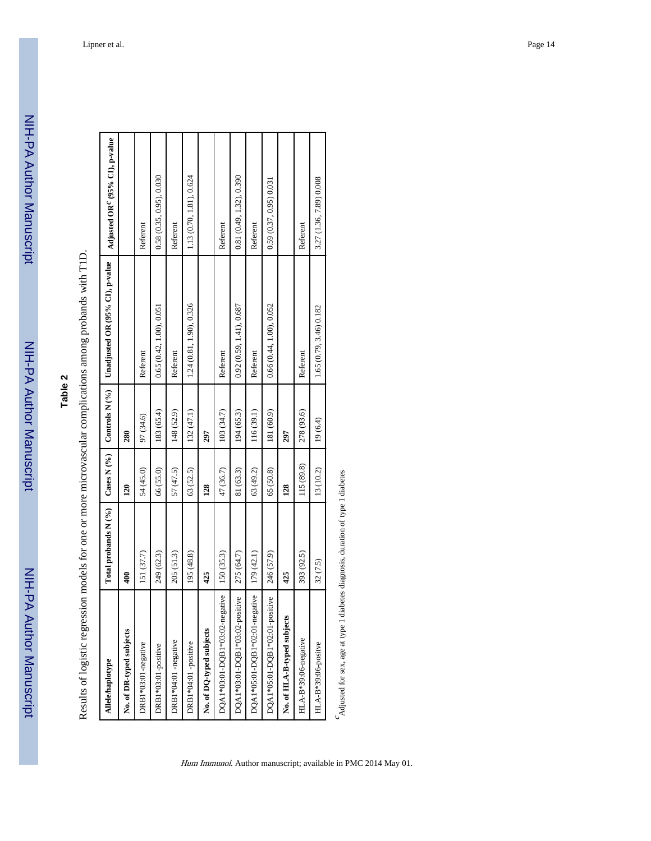# **Table 2**

Results of logistic regression models for one or more microvascular complications among probands with T1D. Results of logistic regression models for one or more microvascular complications among probands with T1D.

| <b>Allele/haplotype</b>        | Total probands N (%) | Cases N (%)     | Controls N (%) | Unadjusted OR (95% CI), p-value | Adjusted OR <sup>c</sup> (95% CI), p-value |
|--------------------------------|----------------------|-----------------|----------------|---------------------------------|--------------------------------------------|
| No. of DR-typed subjects       | Ş                    | $\overline{20}$ | 280            |                                 |                                            |
| DRB1*03:01-negative            | 151 (37.7)           | 54 (45.0)       | 97 (34.6)      | Referent                        | Referent                                   |
| DRB1*03:01-positive            | 249 (62.3)           | 66 (55.0)       | 183 (65.4)     | 0.65(0.42, 1.00), 0.051         | 0.58(0.35, 0.95), 0.030                    |
| DRB1*04:01 -negative           | 205 (51.3)           | 57 (47.5)       | 148 (52.9)     | Referent                        | Referent                                   |
| DRB1*04:01 -positive           | 195 (48.8)           | 63 (52.5)       | 132 (47.1)     | 1.24 (0.81, 1.90), 0.326        | 1.13 (0.70, 1.81), 0.624                   |
| No. of DQ-typed subjects       | 425                  | 128             | 297            |                                 |                                            |
| DQA1*03:01-DQB1*03:02-negative | 150 (35.3)           | 47 (36.7)       | 103 (34.7)     | Referent                        | Referent                                   |
| DQA1*03:01-DQB1*03:02-positive | 275 (64.7)           | 81 (63.3)       | 194 (65.3)     | 0.92(0.59, 1.41), 0.687         | 0.81 (0.49, 1.32), 0.390                   |
| DQA1*05:01-DQB1*02:01-negative | 179 (42.1)           | 63 (49.2)       | 116 (39.1)     | Referent                        | Referent                                   |
| DQA1*05:01-DQB1*02:01-positive | 246 (57.9)           | 65 (50.8)       | 181 (60.9)     | 0.66(0.44, 1.00), 0.052         | 0.59(0.37, 0.95)0.031                      |
| No. of HLA-B-typed subjects    | 425                  | 128             | 297            |                                 |                                            |
| HLA-B*39:06-negative           | 393 (92.5)           | 115 (89.8)      | 278 (93.6)     | Referent                        | Referent                                   |
| HLA-B*39:06-positve            | 32 (7.5)             | 13 (10.2)       | 19(6.4)        | 1.65 (0.79, 3.46) 0.182         | 3.27 (1.36, 7.89) 0.008                    |
|                                |                      |                 |                |                                 |                                            |

 $\Delta$  Adjusted for sex, age at type 1 diabetes diagnosis, duration of type 1 diabetes Adjusted for sex, age at type 1 diabetes diagnosis, duration of type 1 diabetes